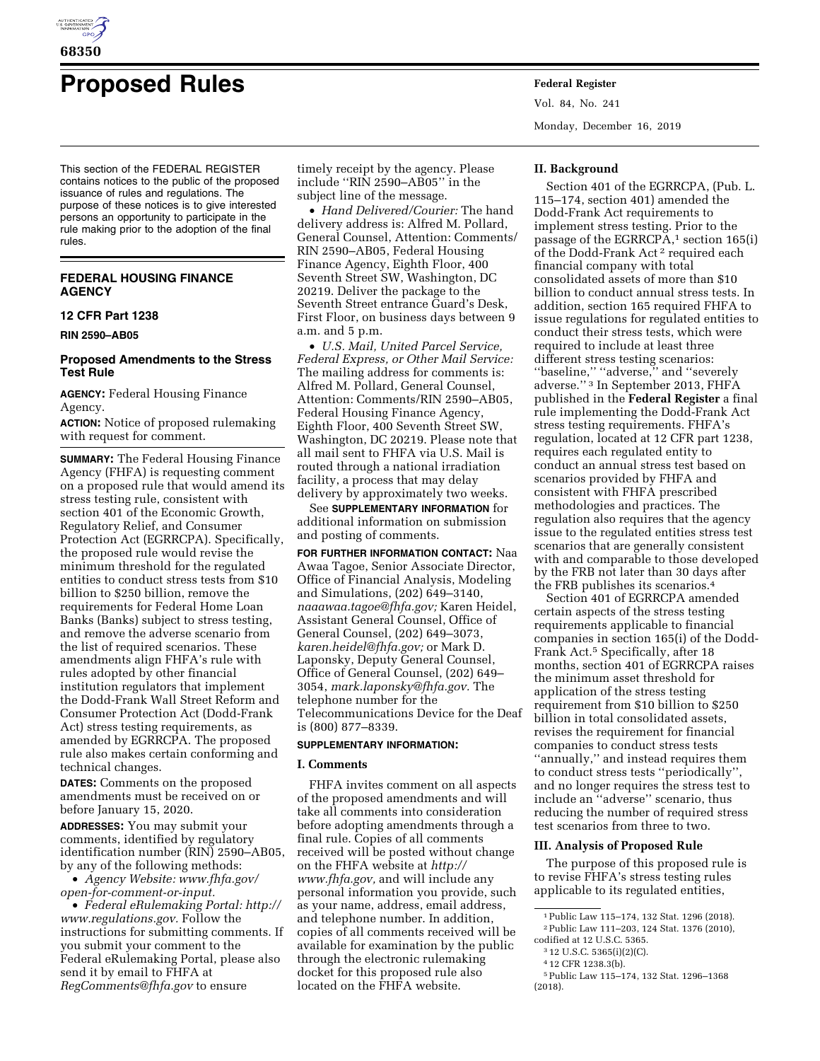

# **Proposed Rules Federal Register**

This section of the FEDERAL REGISTER contains notices to the public of the proposed issuance of rules and regulations. The purpose of these notices is to give interested persons an opportunity to participate in the rule making prior to the adoption of the final rules.

## **FEDERAL HOUSING FINANCE AGENCY**

# **12 CFR Part 1238**

**RIN 2590–AB05** 

## **Proposed Amendments to the Stress Test Rule**

**AGENCY:** Federal Housing Finance Agency.

**ACTION:** Notice of proposed rulemaking with request for comment.

**SUMMARY:** The Federal Housing Finance Agency (FHFA) is requesting comment on a proposed rule that would amend its stress testing rule, consistent with section 401 of the Economic Growth, Regulatory Relief, and Consumer Protection Act (EGRRCPA). Specifically, the proposed rule would revise the minimum threshold for the regulated entities to conduct stress tests from \$10 billion to \$250 billion, remove the requirements for Federal Home Loan Banks (Banks) subject to stress testing, and remove the adverse scenario from the list of required scenarios. These amendments align FHFA's rule with rules adopted by other financial institution regulators that implement the Dodd-Frank Wall Street Reform and Consumer Protection Act (Dodd-Frank Act) stress testing requirements, as amended by EGRRCPA. The proposed rule also makes certain conforming and technical changes.

**DATES:** Comments on the proposed amendments must be received on or before January 15, 2020.

**ADDRESSES:** You may submit your comments, identified by regulatory identification number (RIN) 2590–AB05, by any of the following methods:

• *Agency Website: [www.fhfa.gov/](http://www.fhfa.gov/open-for-comment-or-input) [open-for-comment-or-input.](http://www.fhfa.gov/open-for-comment-or-input)* 

• *Federal eRulemaking Portal: [http://](http://www.regulations.gov)  [www.regulations.gov.](http://www.regulations.gov)* Follow the instructions for submitting comments. If you submit your comment to the Federal eRulemaking Portal, please also send it by email to FHFA at *[RegComments@fhfa.gov](mailto:RegComments@fhfa.gov)* to ensure

timely receipt by the agency. Please include ''RIN 2590–AB05'' in the subject line of the message.

• *Hand Delivered/Courier:* The hand delivery address is: Alfred M. Pollard, General Counsel, Attention: Comments/ RIN 2590–AB05, Federal Housing Finance Agency, Eighth Floor, 400 Seventh Street SW, Washington, DC 20219. Deliver the package to the Seventh Street entrance Guard's Desk, First Floor, on business days between 9 a.m. and 5 p.m.

• *U.S. Mail, United Parcel Service, Federal Express, or Other Mail Service:*  The mailing address for comments is: Alfred M. Pollard, General Counsel, Attention: Comments/RIN 2590–AB05, Federal Housing Finance Agency, Eighth Floor, 400 Seventh Street SW, Washington, DC 20219. Please note that all mail sent to FHFA via U.S. Mail is routed through a national irradiation facility, a process that may delay delivery by approximately two weeks.

See **SUPPLEMENTARY INFORMATION** for additional information on submission and posting of comments.

**FOR FURTHER INFORMATION CONTACT:** Naa Awaa Tagoe, Senior Associate Director, Office of Financial Analysis, Modeling and Simulations, (202) 649–3140, *[naaawaa.tagoe@fhfa.gov;](mailto:naaawaa.tagoe@fhfa.gov)* Karen Heidel, Assistant General Counsel, Office of General Counsel, (202) 649–3073, *[karen.heidel@fhfa.gov;](mailto:karen.heidel@fhfa.gov)* or Mark D. Laponsky, Deputy General Counsel, Office of General Counsel, (202) 649– 3054, *[mark.laponsky@fhfa.gov.](mailto:mark.laponsky@fhfa.gov)* The telephone number for the Telecommunications Device for the Deaf is (800) 877–8339.

# **SUPPLEMENTARY INFORMATION:**

#### **I. Comments**

FHFA invites comment on all aspects of the proposed amendments and will take all comments into consideration before adopting amendments through a final rule. Copies of all comments received will be posted without change on the FHFA website at *[http://](http://www.fhfa.gov) [www.fhfa.gov,](http://www.fhfa.gov)* and will include any personal information you provide, such as your name, address, email address, and telephone number. In addition, copies of all comments received will be available for examination by the public through the electronic rulemaking docket for this proposed rule also located on the FHFA website.

Vol. 84, No. 241 Monday, December 16, 2019

#### **II. Background**

Section 401 of the EGRRCPA, (Pub. L. 115–174, section 401) amended the Dodd-Frank Act requirements to implement stress testing. Prior to the passage of the EGRRCPA, $1$  section 165(i) of the Dodd-Frank Act 2 required each financial company with total consolidated assets of more than \$10 billion to conduct annual stress tests. In addition, section 165 required FHFA to issue regulations for regulated entities to conduct their stress tests, which were required to include at least three different stress testing scenarios: ''baseline,'' ''adverse,'' and ''severely adverse.'' 3 In September 2013, FHFA published in the **Federal Register** a final rule implementing the Dodd-Frank Act stress testing requirements. FHFA's regulation, located at 12 CFR part 1238, requires each regulated entity to conduct an annual stress test based on scenarios provided by FHFA and consistent with FHFA prescribed methodologies and practices. The regulation also requires that the agency issue to the regulated entities stress test scenarios that are generally consistent with and comparable to those developed by the FRB not later than 30 days after the FRB publishes its scenarios.4

Section 401 of EGRRCPA amended certain aspects of the stress testing requirements applicable to financial companies in section 165(i) of the Dodd-Frank Act.5 Specifically, after 18 months, section 401 of EGRRCPA raises the minimum asset threshold for application of the stress testing requirement from \$10 billion to \$250 billion in total consolidated assets, revises the requirement for financial companies to conduct stress tests ''annually,'' and instead requires them to conduct stress tests ''periodically'', and no longer requires the stress test to include an ''adverse'' scenario, thus reducing the number of required stress test scenarios from three to two.

#### **III. Analysis of Proposed Rule**

The purpose of this proposed rule is to revise FHFA's stress testing rules applicable to its regulated entities,

4 12 CFR 1238.3(b).

<sup>1</sup>Public Law 115–174, 132 Stat. 1296 (2018). 2Public Law 111–203, 124 Stat. 1376 (2010), codified at 12 U.S.C. 5365.

<sup>3</sup> 12 U.S.C. 5365(i)(2)(C).

<sup>5</sup>Public Law 115–174, 132 Stat. 1296–1368 (2018).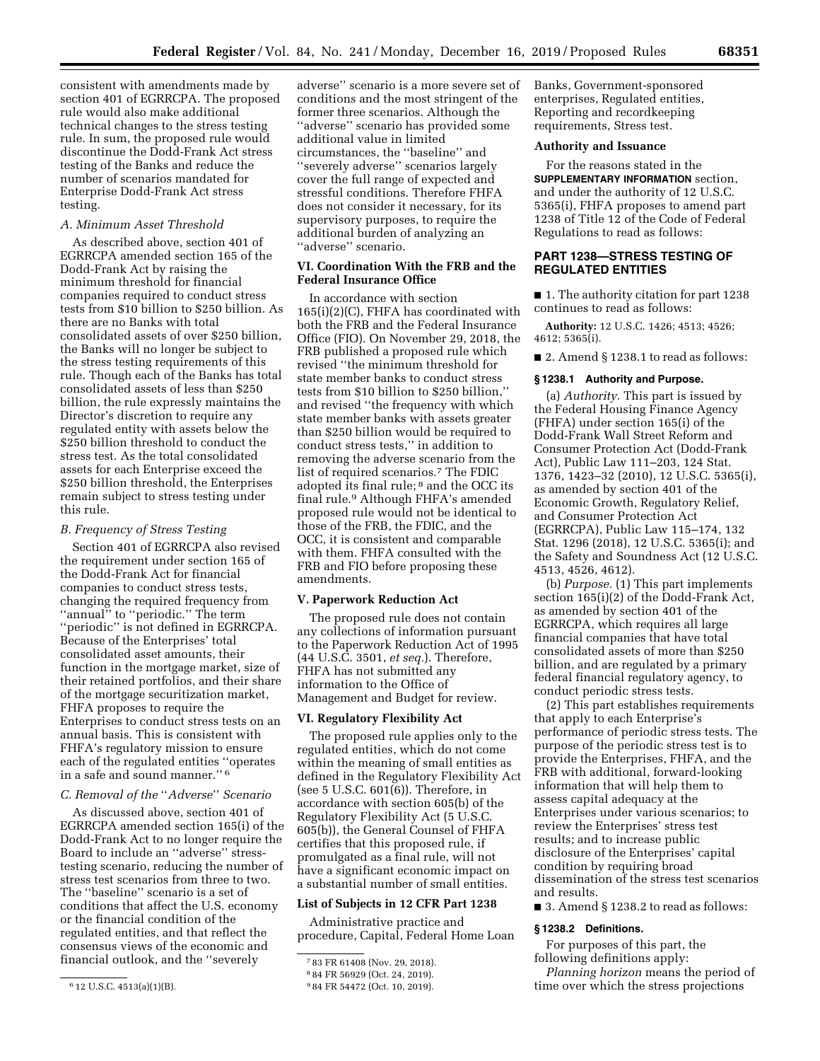adverse'' scenario is a more severe set of

"adverse" scenario.

section 401 of EGRRCPA. The proposed rule would also make additional technical changes to the stress testing rule. In sum, the proposed rule would discontinue the Dodd-Frank Act stress testing of the Banks and reduce the number of scenarios mandated for Enterprise Dodd-Frank Act stress testing.

## *A. Minimum Asset Threshold*

consistent with amendments made by

As described above, section 401 of EGRRCPA amended section 165 of the Dodd-Frank Act by raising the minimum threshold for financial companies required to conduct stress tests from \$10 billion to \$250 billion. As there are no Banks with total consolidated assets of over \$250 billion, the Banks will no longer be subject to the stress testing requirements of this rule. Though each of the Banks has total consolidated assets of less than \$250 billion, the rule expressly maintains the Director's discretion to require any regulated entity with assets below the \$250 billion threshold to conduct the stress test. As the total consolidated assets for each Enterprise exceed the \$250 billion threshold, the Enterprises remain subject to stress testing under this rule.

#### *B. Frequency of Stress Testing*

Section 401 of EGRRCPA also revised the requirement under section 165 of the Dodd-Frank Act for financial companies to conduct stress tests, changing the required frequency from "annual" to "periodic." The term ''periodic'' is not defined in EGRRCPA. Because of the Enterprises' total consolidated asset amounts, their function in the mortgage market, size of their retained portfolios, and their share of the mortgage securitization market, FHFA proposes to require the Enterprises to conduct stress tests on an annual basis. This is consistent with FHFA's regulatory mission to ensure each of the regulated entities ''operates in a safe and sound manner.'' 6

#### *C. Removal of the* ''*Adverse*'' *Scenario*

As discussed above, section 401 of EGRRCPA amended section 165(i) of the Dodd-Frank Act to no longer require the Board to include an ''adverse'' stresstesting scenario, reducing the number of stress test scenarios from three to two. The ''baseline'' scenario is a set of conditions that affect the U.S. economy or the financial condition of the regulated entities, and that reflect the consensus views of the economic and financial outlook, and the ''severely

conditions and the most stringent of the former three scenarios. Although the ''adverse'' scenario has provided some additional value in limited circumstances, the ''baseline'' and ''severely adverse'' scenarios largely cover the full range of expected and stressful conditions. Therefore FHFA does not consider it necessary, for its supervisory purposes, to require the additional burden of analyzing an

# **VI. Coordination With the FRB and the Federal Insurance Office**

In accordance with section 165(i)(2)(C), FHFA has coordinated with both the FRB and the Federal Insurance Office (FIO). On November 29, 2018, the FRB published a proposed rule which revised ''the minimum threshold for state member banks to conduct stress tests from \$10 billion to \$250 billion,'' and revised ''the frequency with which state member banks with assets greater than \$250 billion would be required to conduct stress tests,'' in addition to removing the adverse scenario from the list of required scenarios.7 The FDIC adopted its final rule;<sup>8</sup> and the OCC its final rule.9 Although FHFA's amended proposed rule would not be identical to those of the FRB, the FDIC, and the OCC, it is consistent and comparable with them. FHFA consulted with the FRB and FIO before proposing these amendments.

#### **V. Paperwork Reduction Act**

The proposed rule does not contain any collections of information pursuant to the Paperwork Reduction Act of 1995 (44 U.S.C. 3501, *et seq.*). Therefore, FHFA has not submitted any information to the Office of Management and Budget for review.

## **VI. Regulatory Flexibility Act**

The proposed rule applies only to the regulated entities, which do not come within the meaning of small entities as defined in the Regulatory Flexibility Act (see 5 U.S.C. 601(6)). Therefore, in accordance with section 605(b) of the Regulatory Flexibility Act (5 U.S.C. 605(b)), the General Counsel of FHFA certifies that this proposed rule, if promulgated as a final rule, will not have a significant economic impact on a substantial number of small entities.

## **List of Subjects in 12 CFR Part 1238**

Administrative practice and procedure, Capital, Federal Home Loan Banks, Government-sponsored enterprises, Regulated entities, Reporting and recordkeeping requirements, Stress test.

# **Authority and Issuance**

For the reasons stated in the **SUPPLEMENTARY INFORMATION** section, and under the authority of 12 U.S.C. 5365(i), FHFA proposes to amend part 1238 of Title 12 of the Code of Federal Regulations to read as follows:

# **PART 1238—STRESS TESTING OF REGULATED ENTITIES**

■ 1. The authority citation for part 1238 continues to read as follows:

**Authority:** 12 U.S.C. 1426; 4513; 4526; 4612; 5365(i).

■ 2. Amend § 1238.1 to read as follows:

#### **§ 1238.1 Authority and Purpose.**

(a) *Authority.* This part is issued by the Federal Housing Finance Agency (FHFA) under section 165(i) of the Dodd-Frank Wall Street Reform and Consumer Protection Act (Dodd-Frank Act), Public Law 111–203, 124 Stat. 1376, 1423–32 (2010), 12 U.S.C. 5365(i), as amended by section 401 of the Economic Growth, Regulatory Relief, and Consumer Protection Act (EGRRCPA), Public Law 115–174, 132 Stat. 1296 (2018), 12 U.S.C. 5365(i); and the Safety and Soundness Act (12 U.S.C. 4513, 4526, 4612).

(b) *Purpose.* (1) This part implements section 165(i)(2) of the Dodd-Frank Act, as amended by section 401 of the EGRRCPA, which requires all large financial companies that have total consolidated assets of more than \$250 billion, and are regulated by a primary federal financial regulatory agency, to conduct periodic stress tests.

(2) This part establishes requirements that apply to each Enterprise's performance of periodic stress tests. The purpose of the periodic stress test is to provide the Enterprises, FHFA, and the FRB with additional, forward-looking information that will help them to assess capital adequacy at the Enterprises under various scenarios; to review the Enterprises' stress test results; and to increase public disclosure of the Enterprises' capital condition by requiring broad dissemination of the stress test scenarios and results.

■ 3. Amend § 1238.2 to read as follows:

#### **§ 1238.2 Definitions.**

For purposes of this part, the following definitions apply:

*Planning horizon* means the period of time over which the stress projections

<sup>6</sup> 12 U.S.C. 4513(a)(1)(B).

<sup>7</sup> 83 FR 61408 (Nov. 29, 2018).

<sup>8</sup> 84 FR 56929 (Oct. 24, 2019).

<sup>9</sup> 84 FR 54472 (Oct. 10, 2019).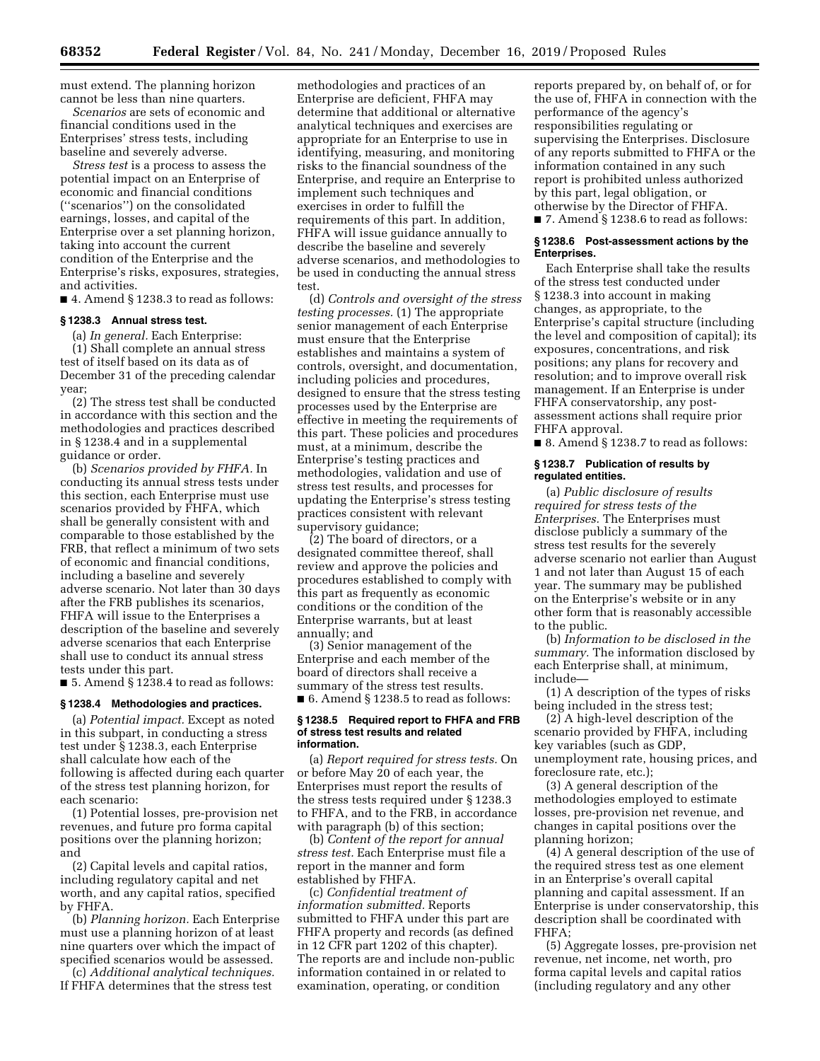must extend. The planning horizon cannot be less than nine quarters.

*Scenarios* are sets of economic and financial conditions used in the Enterprises' stress tests, including baseline and severely adverse.

*Stress test* is a process to assess the potential impact on an Enterprise of economic and financial conditions (''scenarios'') on the consolidated earnings, losses, and capital of the Enterprise over a set planning horizon, taking into account the current condition of the Enterprise and the Enterprise's risks, exposures, strategies, and activities.

■ 4. Amend § 1238.3 to read as follows:

#### **§ 1238.3 Annual stress test.**

(a) *In general.* Each Enterprise: (1) Shall complete an annual stress test of itself based on its data as of December 31 of the preceding calendar year;

(2) The stress test shall be conducted in accordance with this section and the methodologies and practices described in § 1238.4 and in a supplemental guidance or order.

(b) *Scenarios provided by FHFA.* In conducting its annual stress tests under this section, each Enterprise must use scenarios provided by FHFA, which shall be generally consistent with and comparable to those established by the FRB, that reflect a minimum of two sets of economic and financial conditions, including a baseline and severely adverse scenario. Not later than 30 days after the FRB publishes its scenarios, FHFA will issue to the Enterprises a description of the baseline and severely adverse scenarios that each Enterprise shall use to conduct its annual stress tests under this part.

■ 5. Amend § 1238.4 to read as follows:

#### **§ 1238.4 Methodologies and practices.**

(a) *Potential impact.* Except as noted in this subpart, in conducting a stress test under § 1238.3, each Enterprise shall calculate how each of the following is affected during each quarter of the stress test planning horizon, for each scenario:

(1) Potential losses, pre-provision net revenues, and future pro forma capital positions over the planning horizon; and

(2) Capital levels and capital ratios, including regulatory capital and net worth, and any capital ratios, specified by FHFA.

(b) *Planning horizon.* Each Enterprise must use a planning horizon of at least nine quarters over which the impact of specified scenarios would be assessed.

(c) *Additional analytical techniques.*  If FHFA determines that the stress test

methodologies and practices of an Enterprise are deficient, FHFA may determine that additional or alternative analytical techniques and exercises are appropriate for an Enterprise to use in identifying, measuring, and monitoring risks to the financial soundness of the Enterprise, and require an Enterprise to implement such techniques and exercises in order to fulfill the requirements of this part. In addition, FHFA will issue guidance annually to describe the baseline and severely adverse scenarios, and methodologies to be used in conducting the annual stress test.

(d) *Controls and oversight of the stress testing processes.* (1) The appropriate senior management of each Enterprise must ensure that the Enterprise establishes and maintains a system of controls, oversight, and documentation, including policies and procedures, designed to ensure that the stress testing processes used by the Enterprise are effective in meeting the requirements of this part. These policies and procedures must, at a minimum, describe the Enterprise's testing practices and methodologies, validation and use of stress test results, and processes for updating the Enterprise's stress testing practices consistent with relevant supervisory guidance;

(2) The board of directors, or a designated committee thereof, shall review and approve the policies and procedures established to comply with this part as frequently as economic conditions or the condition of the Enterprise warrants, but at least annually; and

(3) Senior management of the Enterprise and each member of the board of directors shall receive a summary of the stress test results. ■ 6. Amend § 1238.5 to read as follows:

#### **§ 1238.5 Required report to FHFA and FRB of stress test results and related information.**

(a) *Report required for stress tests.* On or before May 20 of each year, the Enterprises must report the results of the stress tests required under § 1238.3 to FHFA, and to the FRB, in accordance with paragraph (b) of this section;

(b) *Content of the report for annual stress test.* Each Enterprise must file a report in the manner and form established by FHFA.

(c) *Confidential treatment of information submitted.* Reports submitted to FHFA under this part are FHFA property and records (as defined in 12 CFR part 1202 of this chapter). The reports are and include non-public information contained in or related to examination, operating, or condition

reports prepared by, on behalf of, or for the use of, FHFA in connection with the performance of the agency's responsibilities regulating or supervising the Enterprises. Disclosure of any reports submitted to FHFA or the information contained in any such report is prohibited unless authorized by this part, legal obligation, or otherwise by the Director of FHFA.

■ 7. Amend § 1238.6 to read as follows:

#### **§ 1238.6 Post-assessment actions by the Enterprises.**

Each Enterprise shall take the results of the stress test conducted under § 1238.3 into account in making changes, as appropriate, to the Enterprise's capital structure (including the level and composition of capital); its exposures, concentrations, and risk positions; any plans for recovery and resolution; and to improve overall risk management. If an Enterprise is under FHFA conservatorship, any postassessment actions shall require prior FHFA approval.

■ 8. Amend § 1238.7 to read as follows:

## **§ 1238.7 Publication of results by regulated entities.**

(a) *Public disclosure of results required for stress tests of the Enterprises.* The Enterprises must disclose publicly a summary of the stress test results for the severely adverse scenario not earlier than August 1 and not later than August 15 of each year. The summary may be published on the Enterprise's website or in any other form that is reasonably accessible to the public.

(b) *Information to be disclosed in the summary.* The information disclosed by each Enterprise shall, at minimum, include—

(1) A description of the types of risks being included in the stress test;

(2) A high-level description of the scenario provided by FHFA, including key variables (such as GDP, unemployment rate, housing prices, and foreclosure rate, etc.);

(3) A general description of the methodologies employed to estimate losses, pre-provision net revenue, and changes in capital positions over the planning horizon;

(4) A general description of the use of the required stress test as one element in an Enterprise's overall capital planning and capital assessment. If an Enterprise is under conservatorship, this description shall be coordinated with FHFA;

(5) Aggregate losses, pre-provision net revenue, net income, net worth, pro forma capital levels and capital ratios (including regulatory and any other